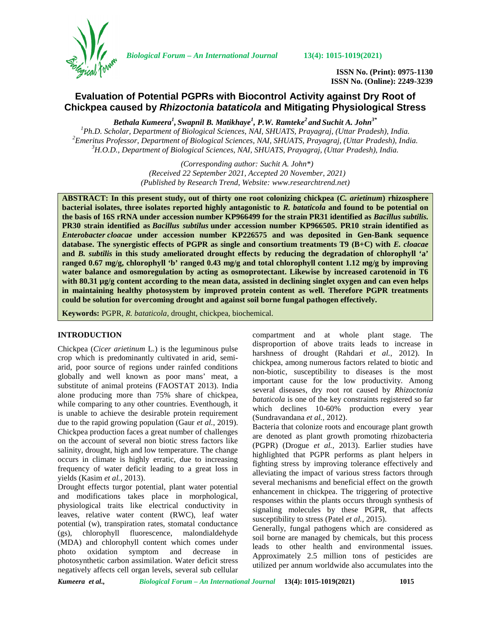

*Biological Forum – An International Journal* **13(4): 1015-1019(2021)**

**ISSN No. (Print): 0975-1130 ISSN No. (Online): 2249-3239**

# **Evaluation of Potential PGPRs with Biocontrol Activity against Dry Root of Chickpea caused by** *Rhizoctonia bataticola* **and Mitigating Physiological Stress**

*Bethala Kumeera<sup>1</sup> , Swapnil B. Matikhaye<sup>1</sup> , P.W. Ramteke<sup>2</sup> and Suchit A. John3\** <sup>1</sup>Ph.D. Scholar, Department of Biological Sciences, NAI, SHUATS, Prayagraj, (Uttar Pradesh), India.<br><sup>2</sup>Emeritus Professor, Department of Biological Sciences, NAI, SHUATS, Prayagraj, (Uttar Pradesh), India.<br><sup>3</sup>H.O.D., Dep

> *(Corresponding author: Suchit A. John\*) (Received 22 September 2021, Accepted 20 November, 2021) (Published by Research Trend, Website: [www.researchtrend.net\)](www.researchtrend.net)*

**ABSTRACT: In this present study, out of thirty one root colonizing chickpea (***C. arietinum***) rhizosphere bacterial isolates, three isolates reported highly antagonistic to** *R. bataticola* **and found to be potential on the basis of 16S rRNA under accession number KP966499 for the strain PR31 identified as** *Bacillus subtilis.* **PR30 strain identified as** *Bacillus subtilus* **under accession number KP966505. PR10 strain identified as** *Enterobacter cloacae* **under accession number KP226575 and was deposited in Gen-Bank sequence database. The synergistic effects of PGPR as single and consortium treatments T9 (B+C) with** *E. cloacae* **and** *B. subtilis* **in this study ameliorated drought effects by reducing the degradation of chlorophyll 'a' ranged 0.67 mg/g, chlorophyll 'b' ranged 0.43 mg/g and total chlorophyll content 1.12 mg/g by improving water balance and osmoregulation by acting as osmoprotectant. Likewise by increased carotenoid in T6 with 80.31 µg/g content according to the mean data, assisted in declining singlet oxygen and can even helps in maintaining healthy photosystem by improved protein content as well. Therefore PGPR treatments could be solution for overcoming drought and against soil borne fungal pathogen effectively.**

**Keywords:** PGPR, *R. bataticola*, drought, chickpea, biochemical.

## **INTRODUCTION**

Chickpea (*Cicer arietinum* L.) is the leguminous pulse crop which is predominantly cultivated in arid, semi arid, poor source of regions under rainfed conditions globally and well known as poor mans' meat, a substitute of animal proteins (FAOSTAT 2013). India alone producing more than 75% share of chickpea, while comparing to any other countries. Eventhough, it is unable to achieve the desirable protein requirement due to the rapid growing population (Gaur *et al.,* 2019). Chickpea production faces a great number of challenges on the account of several non biotic stress factors like salinity, drought, high and low temperature. The change occurs in climate is highly erratic, due to increasing frequency of water deficit leading to a great loss in yields (Kasim *et al.,* 2013).

Drought effects turgor potential, plant water potential and modifications takes place in morphological, physiological traits like electrical conductivity in leaves, relative water content (RWC), leaf water potential (w), transpiration rates, stomatal conductance (gs), chlorophyll fluorescence, malondialdehyde (MDA) and chlorophyll content which comes under photo oxidation symptom and decrease in photosynthetic carbon assimilation. Water deficit stress negatively affects cell organ levels, several sub cellular

compartment and at whole plant stage. The disproportion of above traits leads to increase in harshness of drought (Rahdari *et al.,* 2012). In chickpea, among numerous factors related to biotic and non-biotic, susceptibility to diseases is the most important cause for the low productivity. Among several diseases, dry root rot caused by *Rhizoctonia bataticola* is one of the key constraints registered so far which declines 10-60% production every year (Sundravandana *et al.,* 2012).

Bacteria that colonize roots and encourage plant growth are denoted as plant growth promoting rhizobacteria (PGPR) (Drogue *et al.,* 2013). Earlier studies have highlighted that PGPR performs as plant helpers in fighting stress by improving tolerance effectively and alleviating the impact of various stress factors through several mechanisms and beneficial effect on the growth enhancement in chickpea. The triggering of protective responses within the plants occurs through synthesis of signaling molecules by these PGPR, that affects susceptibility to stress (Patel *et al.,* 2015).

Generally, fungal pathogens which are considered as soil borne are managed by chemicals, but this process leads to other health and environmental issues. Approximately 2.5 million tons of pesticides are utilized per annum worldwide also accumulates into the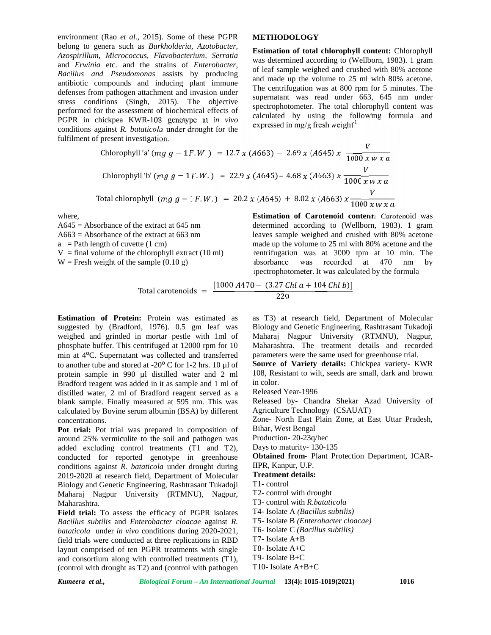environment (Rao *et al.,* 2015). Some of these PGPR belong to genera such as *Burkholderia, Azotobacter, Azospirillum, Micrococcus, Flavobacterium, Serratia* and *Erwinia* etc. and the strains of *Enterobacter, Bacillus and Pseudomonas* assists by producing antibiotic compounds and inducing plant immune defenses from pathogen attachment and invasion under stress conditions (Singh, 2015). The objective performed for the assessment of biochemical effects of PGPR in chickpea KWR-108 genotype at *in vivo* conditions against *R. bataticola* under drought for the fulfilment of present investigation.

## **METHODOLOGY**

**Estimation of total chlorophyll content:** Chlorophyll was determined according to (Wellborn, 1983). 1 gram of leaf sample weighed and crushed with 80% acetone and made up the volume to 25 ml with 80% acetone. The centrifugation was at 800 rpm for 5 minutes. The supernatant was read under 663, 645 nm under spectrophotometer. The total chlorophyll content was calculated by using the following formula and expressed in mg/g fresh weight $<sup>1</sup>$ </sup>

Chlorophyll 'a' 
$$
(mg g - 1F.W.) = 12.7 x (A663) - 2.69 x (A645) x \frac{V}{1000 x w x a}
$$
  
\nChlorophyll 'b'  $(mg g - 1F.W.) = 22.9 x (A645) - 4.68 x (A663) x \frac{V}{1000 x w x a}$   
\nTotal chlorophyll  $(mg g - 1F.W.) = 20.2 x (A645) + 8.02 x (A663) x \frac{V}{1000 x w x a}$ 

where,

A645 = Absorbance of the extract at 645 nm A663 = Absorbance of the extract at 663 nm  $a = Path length of cuvette (1 cm)$  $V =$  final volume of the chlorophyll extract (10 ml)  $W =$  Fresh weight of the sample (0.10 g)

**Estimation of Carotenoid content:** Carotenoid was determined according to (Wellborn, 1983). 1 gram leaves sample weighed and crushed with 80% acetone made up the volume to 25 ml with 80% acetone and the centrifugation was at 3000 rpm at 10 min. The absorbance was recorded at 470 nm by spectrophotometer. It was calculated by the formula

Total carotenoids = 
$$
\frac{[1000 A470 - (3.27 Chl a + 104 Chl b)]}{229}
$$

**Estimation of Protein:** Protein was estimated as suggested by (Bradford, 1976). 0.5 gm leaf was weighed and grinded in mortar pestle with 1ml of phosphate buffer. This centrifuged at 12000 rpm for 10 min at 4⁰C. Supernatant was collected and transferred to another tube and stored at -20 $\degree$  C for 1-2 hrs. 10 µl of protein sample in 990 µl distilled water and 2 ml Bradford reagent was added in it as sample and 1 ml of distilled water, 2 ml of Bradford reagent served as a blank sample. Finally measured at 595 nm. This was calculated by Bovine serum albumin (BSA) by different concentrations.

**Pot trial:** Pot trial was prepared in composition of around 25% vermiculite to the soil and pathogen was added excluding control treatments (T1 and T2), conducted for reported genotype in greenhouse conditions against *R. bataticola* under drought during 2019-2020 at research field, Department of Molecular Biology and Genetic Engineering, Rashtrasant Tukadoji Maharaj Nagpur University (RTMNU), Nagpur, Maharashtra.

**Field trial:** To assess the efficacy of PGPR isolates *Bacillus subtilis* and *Enterobacter cloacae* against *R. bataticola* under *in vivo* conditions during 2020-2021, field trials were conducted at three replications in RBD layout comprised of ten PGPR treatments with single and consortium along with controlled treatments (T1), (control with drought as T2) and (control with pathogen

as T3) at research field, Department of Molecular Biology and Genetic Engineering, Rashtrasant Tukadoji Maharaj Nagpur University (RTMNU), Nagpur, Maharashtra. The treatment details and recorded parameters were the same used for greenhouse trial. **Source of Variety details:** Chickpea variety- KWR 108, Resistant to wilt, seeds are small, dark and brown

in color. Released Year-1996

Released by- Chandra Shekar Azad University of Agriculture Technology (CSAUAT)

Zone- North East Plain Zone, at East Uttar Pradesh, Bihar, West Bengal

Production- 20-23q/hec

Days to maturity- 130-135

**Obtained from-** Plant Protection Department, ICAR-IIPR, Kanpur, U.P.

**Treatment details:**

T1- control

T2- control with drought

T3- control with *R.bataticola*

T4- Isolate A *(Bacillus subtilis)*

- T5- Isolate B *(Enterobacter cloacae)*
- T6- Isolate C *(Bacillus subtilis)*
- T7- Isolate A+B
- T8- Isolate A+C

T10- Isolate A+B+C

T9- Isolate B+C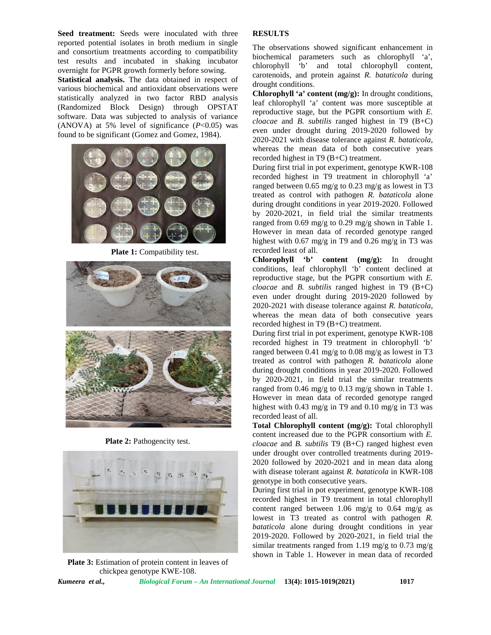Seed treatment: Seeds were inoculated with three reported potential isolates in broth medium in single and consortium treatments according to compatibility test results and incubated in shaking incubator overnight for PGPR growth formerly before sowing.

**Statistical analysis.** The data obtained in respect of various biochemical and antioxidant observations were statistically analyzed in two factor RBD analysis (Randomized Block Design) through OPSTAT software. Data was subjected to analysis of variance (ANOVA) at 5% level of significance  $(P<0.05)$  was found to be significant (Gomez and Gomez, 1984).



**Plate 1:** Compatibility test.



**Plate 2:** Pathogencity test.



**Plate 3:** Estimation of protein content in leaves of chickpea genotype KWE-108.

### **RESULTS**

The observations showed significant enhancement in biochemical parameters such as chlorophyll 'a', chlorophyll 'b' and total chlorophyll content, carotenoids, and protein against *R. bataticola* during drought conditions.

**Chlorophyll 'a' content (mg/g):** In drought conditions, leaf chlorophyll 'a' content was more susceptible at reproductive stage, but the PGPR consortium with *E. cloacae* and *B. subtilis* ranged highest in T9 (B+C) even under drought during 2019-2020 followed by 2020-2021 with disease tolerance against *R. bataticola*, whereas the mean data of both consecutive years recorded highest in T9 (B+C) treatment.

During first trial in pot experiment, genotype KWR-108 recorded highest in T9 treatment in chlorophyll 'a' ranged between 0.65 mg/g to 0.23 mg/g as lowest in T3 treated as control with pathogen *R. bataticola* alone during drought conditions in year 2019-2020. Followed by 2020-2021, in field trial the similar treatments ranged from 0.69 mg/g to 0.29 mg/g shown in Table 1. However in mean data of recorded genotype ranged highest with 0.67 mg/g in T9 and 0.26 mg/g in T3 was recorded least of all.

**Chlorophyll 'b' content (mg/g):** In drought conditions, leaf chlorophyll 'b' content declined at reproductive stage, but the PGPR consortium with *E. cloacae* and *B. subtilis* ranged highest in T9 (B+C) even under drought during 2019-2020 followed by 2020-2021 with disease tolerance against *R. bataticola*, whereas the mean data of both consecutive years recorded highest in T9 (B+C) treatment.

During first trial in pot experiment, genotype KWR-108 recorded highest in T9 treatment in chlorophyll 'b' ranged between 0.41 mg/g to 0.08 mg/g as lowest in T3 treated as control with pathogen *R. bataticola* alone during drought conditions in year 2019-2020. Followed by 2020-2021, in field trial the similar treatments ranged from 0.46 mg/g to 0.13 mg/g shown in Table 1. However in mean data of recorded genotype ranged highest with 0.43 mg/g in T9 and 0.10 mg/g in T3 was recorded least of all.

**Total Chlorophyll content (mg/g):** Total chlorophyll content increased due to the PGPR consortium with *E. cloacae* and *B. subtilis* T9 (B+C) ranged highest even under drought over controlled treatments during 2019- 2020 followed by 2020-2021 and in mean data along with disease tolerant against *R. bataticola* in KWR-108 genotype in both consecutive years.

During first trial in pot experiment, genotype KWR-108 recorded highest in T9 treatment in total chlorophyll content ranged between 1.06 mg/g to 0.64 mg/g as lowest in T3 treated as control with pathogen *R. bataticola* alone during drought conditions in year 2019-2020. Followed by 2020-2021, in field trial the similar treatments ranged from 1.19 mg/g to 0.73 mg/g shown in Table 1. However in mean data of recorded

*Kumeera et al., Biological Forum – An International Journal* **13(4): 1015-1019(2021) 1017**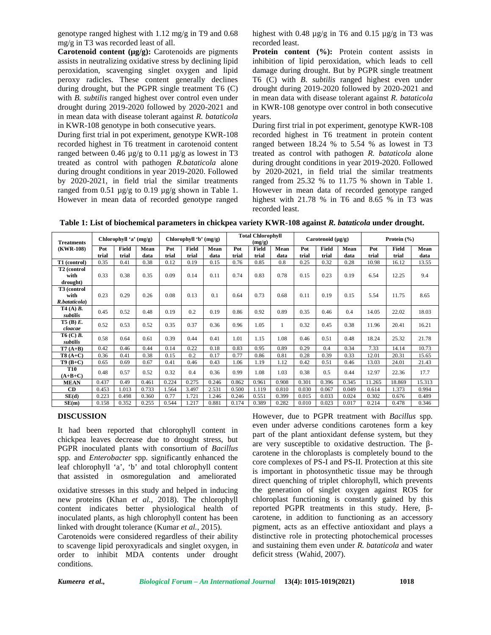genotype ranged highest with 1.12 mg/g in T9 and 0.68 mg/g in T3 was recorded least of all.

**Carotenoid content (µg/g):** Carotenoids are pigments assists in neutralizing oxidative stress by declining lipid peroxidation, scavenging singlet oxygen and lipid peroxy radicles. These content generally declines during drought, but the PGPR single treatment T6 (C) with *B. subtilis* ranged highest over control even under drought during 2019-2020 followed by 2020-2021 and in mean data with disease tolerant against *R. bataticola* in KWR-108 genotype in both consecutive years.

During first trial in pot experiment, genotype KWR-108 recorded highest in T6 treatment in carotenoid content ranged between 0.46  $\mu$ g/g to 0.11  $\mu$ g/g as lowest in T3 treated as control with pathogen *R.bataticola* alone during drought conditions in year 2019-2020. Followed by 2020-2021, in field trial the similar treatments ranged from 0.51  $\mu$ g/g to 0.19  $\mu$ g/g shown in Table 1. However in mean data of recorded genotype ranged

highest with 0.48  $\mu$ g/g in T6 and 0.15  $\mu$ g/g in T3 was recorded least.

Protein content (%): Protein content assists in inhibition of lipid peroxidation, which leads to cell damage during drought. But by PGPR single treatment T6 (C) with *B. subtilis* ranged highest even under drought during 2019-2020 followed by 2020-2021 and in mean data with disease tolerant against *R. bataticola* in KWR-108 genotype over control in both consecutive years.

During first trial in pot experiment, genotype KWR-108 recorded highest in T6 treatment in protein content ranged between 18.24 % to 5.54 % as lowest in T3 treated as control with pathogen *R. bataticola* alone during drought conditions in year 2019-2020. Followed by 2020-2021, in field trial the similar treatments ranged from 25.32 % to 11.75 % shown in Table 1. However in mean data of recorded genotype ranged highest with 21.78 % in T6 and 8.65 % in T3 was recorded least.

**Table 1: List of biochemical parameters in chickpea variety KWR-108 against** *R. bataticola* **under drought.**

| <b>Treatments</b><br>(KWR-108)                   | Chlorophyll 'a' $(mg/g)$ |                |              | Chlorophyll 'b' $(mg/g)$ |                |              | <b>Total Chlorophyll</b><br>(mg/g) |                |              | Carotenoid $(\mu g/g)$ |                |              | Protein $(\% )$ |                |              |
|--------------------------------------------------|--------------------------|----------------|--------------|--------------------------|----------------|--------------|------------------------------------|----------------|--------------|------------------------|----------------|--------------|-----------------|----------------|--------------|
|                                                  | Pot<br>trial             | Field<br>trial | Mean<br>data | Pot<br>trial             | Field<br>trial | Mean<br>data | Pot<br>trial                       | Field<br>trial | Mean<br>data | Pot<br>trial           | Field<br>trial | Mean<br>data | Pot<br>trial    | Field<br>trial | Mean<br>data |
| T1 (control)                                     | 0.35                     | 0.41           | 0.38         | 0.12                     | 0.19           | 0.15         | 0.76                               | 0.85           | 0.8          | 0.25                   | 0.32           | 0.28         | 10.98           | 16.12          | 13.55        |
| T <sub>2</sub> (control<br>with<br>drought)      | 0.33                     | 0.38           | 0.35         | 0.09                     | 0.14           | 0.11         | 0.74                               | 0.83           | 0.78         | 0.15                   | 0.23           | 0.19         | 6.54            | 12.25          | 9.4          |
| T <sub>3</sub> (control<br>with<br>R.bataticola) | 0.23                     | 0.29           | 0.26         | 0.08                     | 0.13           | 0.1          | 0.64                               | 0.73           | 0.68         | 0.11                   | 0.19           | 0.15         | 5.54            | 11.75          | 8.65         |
| T4 (A) <i>B</i> .<br>subtilis                    | 0.45                     | 0.52           | 0.48         | 0.19                     | 0.2            | 0.19         | 0.86                               | 0.92           | 0.89         | 0.35                   | 0.46           | 0.4          | 14.05           | 22.02          | 18.03        |
| $T5$ (B) $E$ .<br>cloacae                        | 0.52                     | 0.53           | 0.52         | 0.35                     | 0.37           | 0.36         | 0.96                               | 1.05           | 1.           | 0.32                   | 0.45           | 0.38         | 11.96           | 20.41          | 16.21        |
| T6 (C) <i>B</i> .<br>subtilis                    | 0.58                     | 0.64           | 0.61         | 0.39                     | 0.44           | 0.41         | 1.01                               | 1.15           | 1.08         | 0.46                   | 0.51           | 0.48         | 18.24           | 25.32          | 21.78        |
| $T7(A+B)$                                        | 0.42                     | 0.46           | 0.44         | 0.14                     | 0.22           | 0.18         | 0.83                               | 0.95           | 0.89         | 0.29                   | 0.4            | 0.34         | 7.33            | 14.14          | 10.73        |
| $T8(A+C)$                                        | 0.36                     | 0.41           | 0.38         | 0.15                     | 0.2            | 0.17         | 0.77                               | 0.86           | 0.81         | 0.28                   | 0.39           | 0.33         | 12.01           | 20.31          | 15.65        |
| $T9(B+C)$                                        | 0.65                     | 0.69           | 0.67         | 0.41                     | 0.46           | 0.43         | 1.06                               | 1.19           | 1.12         | 0.42                   | 0.51           | 0.46         | 13.03           | 24.01          | 21.43        |
| <b>T10</b><br>$(A+B+C)$                          | 0.48                     | 0.57           | 0.52         | 0.32                     | 0.4            | 0.36         | 0.99                               | 1.08           | 1.03         | 0.38                   | 0.5            | 0.44         | 12.97           | 22.36          | 17.7         |
| <b>MEAN</b>                                      | 0.437                    | 0.49           | 0.461        | 0.224                    | 0.275          | 0.246        | 0.862                              | 0.961          | 0.908        | 0.301                  | 0.396          | 0.345        | 11.265          | 18.869         | 15.313       |
| CD                                               | 0.453                    | 1.013          | 0.733        | 1.564                    | 3.497          | 2.531        | 0.500                              | 1.119          | 0.810        | 0.030                  | 0.067          | 0.049        | 0.614           | 1.373          | 0.994        |
| SE(d)                                            | 0.223                    | 0.498          | 0.360        | 0.77                     | 1.721          | 1.246        | 0.246                              | 0.551          | 0.399        | 0.015                  | 0.033          | 0.024        | 0.302           | 0.676          | 0.489        |
| SE(m)                                            | 0.158                    | 0.352          | 0.255        | 0.544                    | 1.217          | 0.881        | 0.174                              | 0.389          | 0.282        | 0.010                  | 0.023          | 0.017        | 0.214           | 0.478          | 0.346        |

### **DISCUSSION**

It had been reported that chlorophyll content in chickpea leaves decrease due to drought stress, but PGPR inoculated plants with consortium of *Bacillus* spp*.* and *Enterobacter* spp*.* significantly enhanced the leaf chlorophyll 'a', 'b' and total chlorophyll content that assisted in osmoregulation and ameliorated

oxidative stresses in this study and helped in inducing new proteins (Khan *et al.,* 2018). The chlorophyll content indicates better physiological health of inoculated plants, as high chlorophyll content has been linked with drought tolerance (Kumar *et al.,* 2015).

Carotenoids were considered regardless of their ability to scavenge lipid peroxyradicals and singlet oxygen, in order to inhibit MDA contents under drought conditions.

However, due to PGPR treatment with *Bacillus* spp*.* even under adverse conditions carotenes form a key part of the plant antioxidant defense system, but they are very susceptible to oxidative destruction. The carotene in the chloroplasts is completely bound to the core complexes of PS-I and PS-II. Protection at this site is important in photosynthetic tissue may be through direct quenching of triplet chlorophyll, which prevents the generation of singlet oxygen against ROS for chloroplast functioning is constantly gained by this reported PGPR treatments in this study. Here, carotene, in addition to functioning as an accessory pigment, acts as an effective antioxidant and plays a distinctive role in protecting photochemical processes and sustaining them even under *R. bataticola* and water deficit stress (Wahid, 2007).